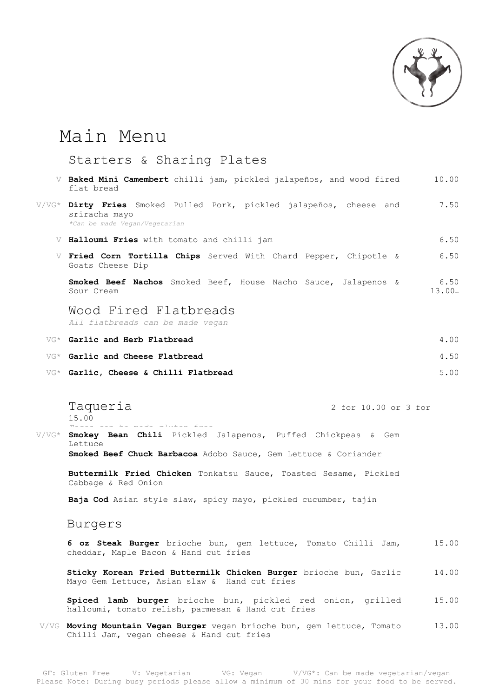

## Main Menu

## Starters & Sharing Plates

| Baked Mini Camembert chilli jam, pickled jalapeños, and wood fired<br>flat bread                                      | 10.00                      |
|-----------------------------------------------------------------------------------------------------------------------|----------------------------|
| V/VG* Dirty Fries Smoked Pulled Pork, pickled jalapeños, cheese and<br>sriracha mayo<br>*Can be made Vegan/Vegetarian | 7.50                       |
| V Halloumi Fries with tomato and chilli jam                                                                           | 6.50                       |
| Fried Corn Tortilla Chips Served With Chard Pepper, Chipotle &<br>Goats Cheese Dip                                    | 6.50                       |
| Smoked Beef Nachos Smoked Beef, House Nacho Sauce, Jalapenos &<br>Sour Cream                                          | 6.50<br>13.00 <sub>m</sub> |
| Wood Fired Flatbreads<br>All flatbreads can be made vegan                                                             |                            |
| VG* Garlic and Herb Flatbread                                                                                         | 4.00                       |
| VG* Garlic and Cheese Flatbread                                                                                       | 4.50                       |
| VG* Garlic, Cheese & Chilli Flatbread                                                                                 | 5.00                       |

Taqueria 2 for 10.00 or 3 for 15.00

 $L$ ettuce

*Tacos can be made gluten free* V/VG\* **Smokey Bean Chili** Pickled Jalapenos, Puffed Chickpeas & Gem

**Smoked Beef Chuck Barbacoa** Adobo Sauce, Gem Lettuce & Coriander

**Buttermilk Fried Chicken** Tonkatsu Sauce, Toasted Sesame, Pickled Cabbage & Red Onion

**Baja Cod** Asian style slaw, spicy mayo, pickled cucumber, tajin

Burgers

**6 oz Steak Burger** brioche bun, gem lettuce, Tomato Chilli Jam, 15.00 cheddar, Maple Bacon & Hand cut fries

**Sticky Korean Fried Buttermilk Chicken Burger** brioche bun, Garlic Mayo Gem Lettuce, Asian slaw & Hand cut fries 14.00

**Spiced lamb burger** brioche bun, pickled red onion, grilled halloumi, tomato relish, parmesan & Hand cut fries 15.00

V/VG **Moving Mountain Vegan Burger** vegan brioche bun, gem lettuce, Tomato Chilli Jam, vegan cheese & Hand cut fries 13.00